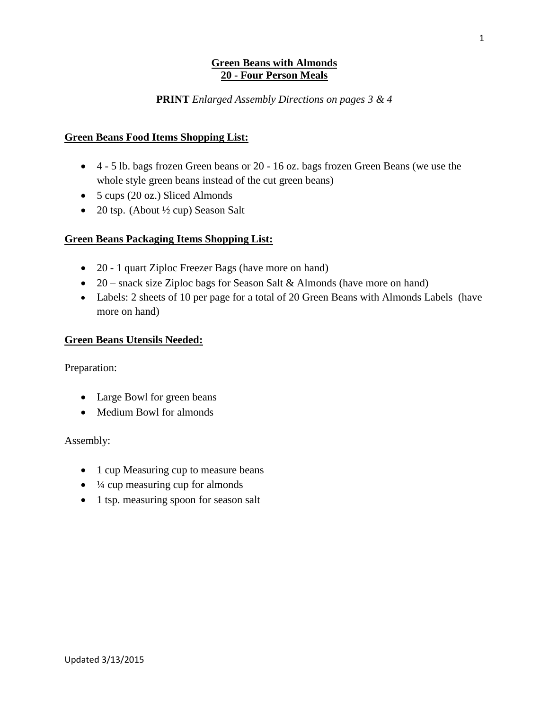#### **Green Beans with Almonds 20 - Four Person Meals**

### **PRINT** *Enlarged Assembly Directions on pages 3 & 4*

#### **Green Beans Food Items Shopping List:**

- 4 5 lb. bags frozen Green beans or 20 16 oz. bags frozen Green Beans (we use the whole style green beans instead of the cut green beans)
- 5 cups (20 oz.) Sliced Almonds
- 20 tsp. (About  $\frac{1}{2}$  cup) Season Salt

#### **Green Beans Packaging Items Shopping List:**

- 20 1 quart Ziploc Freezer Bags (have more on hand)
- 20 snack size Ziploc bags for Season Salt & Almonds (have more on hand)
- Labels: 2 sheets of 10 per page for a total of 20 Green Beans with Almonds Labels (have more on hand)

#### **Green Beans Utensils Needed:**

Preparation:

- Large Bowl for green beans
- Medium Bowl for almonds

#### Assembly:

- 1 cup Measuring cup to measure beans
- $\bullet$   $\frac{1}{4}$  cup measuring cup for almonds
- 1 tsp. measuring spoon for season salt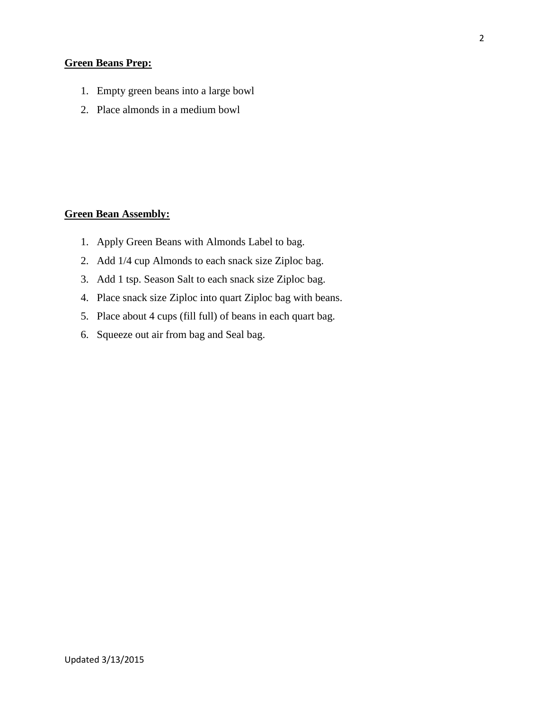## **Green Beans Prep:**

- 1. Empty green beans into a large bowl
- 2. Place almonds in a medium bowl

## **Green Bean Assembly:**

- 1. Apply Green Beans with Almonds Label to bag.
- 2. Add 1/4 cup Almonds to each snack size Ziploc bag.
- 3. Add 1 tsp. Season Salt to each snack size Ziploc bag.
- 4. Place snack size Ziploc into quart Ziploc bag with beans.
- 5. Place about 4 cups (fill full) of beans in each quart bag.
- 6. Squeeze out air from bag and Seal bag.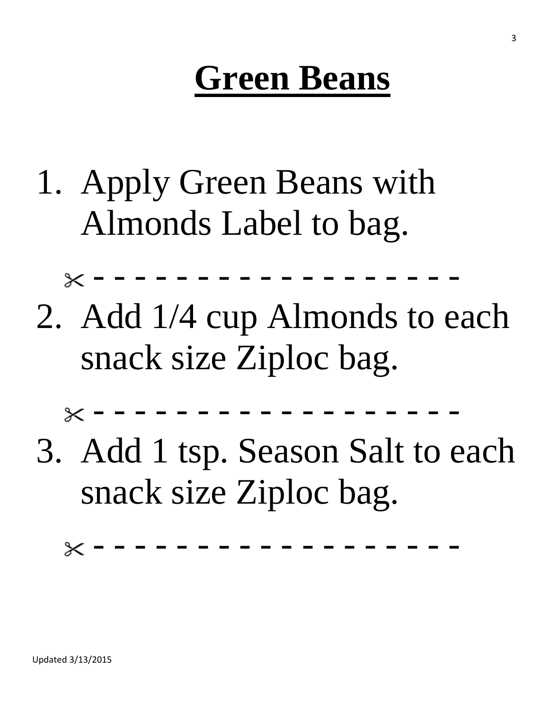## **Green Beans**

- 1. Apply Green Beans with Almonds Label to bag.
- 2. Add 1/4 cup Almonds to each snack size Ziploc bag.

- - - - - - - - - - - - - - - - - - 3. Add 1 tsp. Season Salt to each

snack size Ziploc bag.

- - - - - - - - - - - - - - - - - -

 $\times$  - - - - -